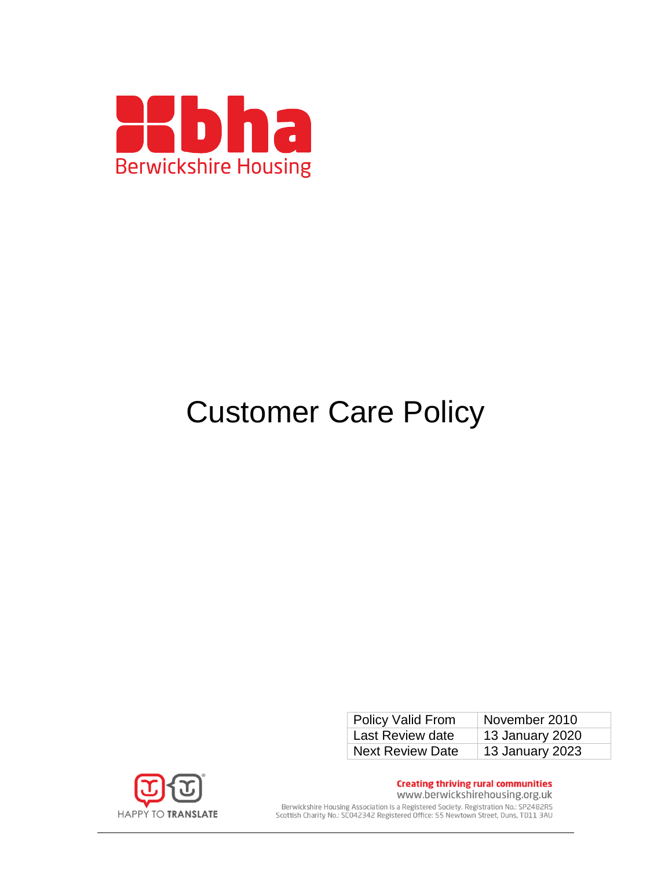

# Customer Care Policy

| <b>Policy Valid From</b> | November 2010   |
|--------------------------|-----------------|
| Last Review date         | 13 January 2020 |
| <b>Next Review Date</b>  | 13 January 2023 |



**Creating thriving rural communities** www.berwickshirehousing.org.uk Berwickshire Housing Association is a Registered Society. Registration No.: SP2482RS<br>Scottish Charity No.: SC042342 Registered Office: 55 Newtown Street, Duns, TD11 3AU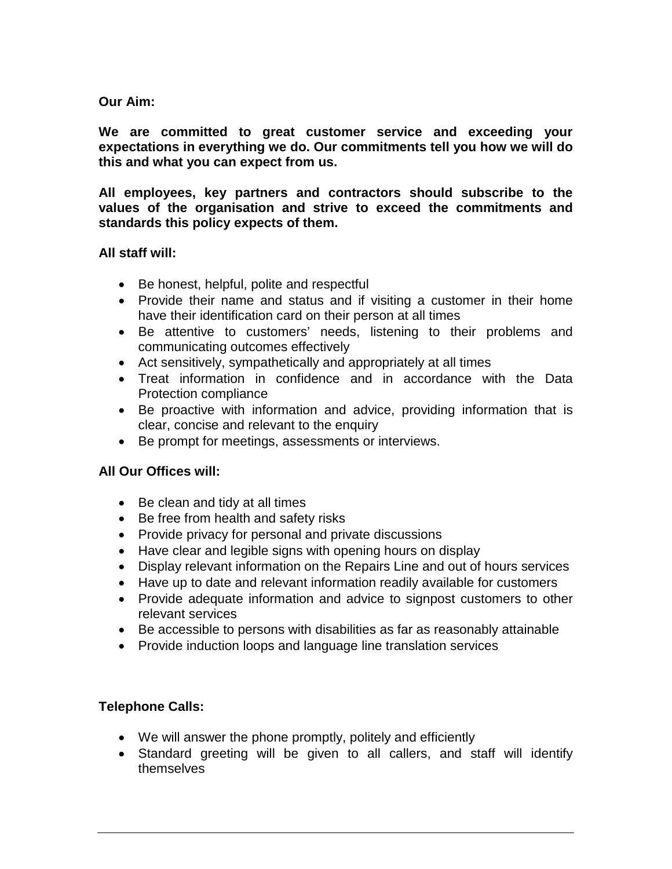#### **Our Aim:**

**We are committed to great customer service and exceeding your expectations in everything we do. Our commitments tell you how we will do this and what you can expect from us.**

**All employees, key partners and contractors should subscribe to the values of the organisation and strive to exceed the commitments and standards this policy expects of them.**

#### **All staff will:**

- Be honest, helpful, polite and respectful
- Provide their name and status and if visiting a customer in their home have their identification card on their person at all times
- Be attentive to customers' needs, listening to their problems and communicating outcomes effectively
- Act sensitively, sympathetically and appropriately at all times
- Treat information in confidence and in accordance with the Data Protection compliance
- Be proactive with information and advice, providing information that is clear, concise and relevant to the enquiry
- Be prompt for meetings, assessments or interviews.

## **All Our Offices will:**

- Be clean and tidy at all times
- Be free from health and safety risks
- Provide privacy for personal and private discussions
- Have clear and legible signs with opening hours on display
- Display relevant information on the Repairs Line and out of hours services
- Have up to date and relevant information readily available for customers
- Provide adequate information and advice to signpost customers to other relevant services
- Be accessible to persons with disabilities as far as reasonably attainable
- Provide induction loops and language line translation services

## **Telephone Calls:**

- We will answer the phone promptly, politely and efficiently
- Standard greeting will be given to all callers, and staff will identify themselves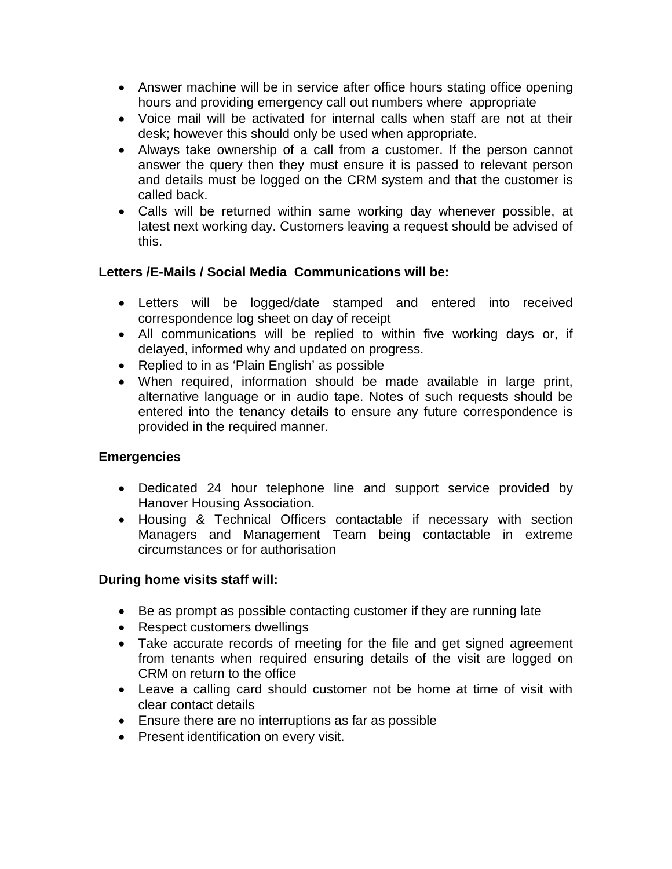- Answer machine will be in service after office hours stating office opening hours and providing emergency call out numbers where appropriate
- Voice mail will be activated for internal calls when staff are not at their desk; however this should only be used when appropriate.
- Always take ownership of a call from a customer. If the person cannot answer the query then they must ensure it is passed to relevant person and details must be logged on the CRM system and that the customer is called back.
- Calls will be returned within same working day whenever possible, at latest next working day. Customers leaving a request should be advised of this.

## **Letters /E-Mails / Social Media Communications will be:**

- Letters will be logged/date stamped and entered into received correspondence log sheet on day of receipt
- All communications will be replied to within five working days or, if delayed, informed why and updated on progress.
- Replied to in as 'Plain English' as possible
- When required, information should be made available in large print, alternative language or in audio tape. Notes of such requests should be entered into the tenancy details to ensure any future correspondence is provided in the required manner.

#### **Emergencies**

- Dedicated 24 hour telephone line and support service provided by Hanover Housing Association.
- Housing & Technical Officers contactable if necessary with section Managers and Management Team being contactable in extreme circumstances or for authorisation

#### **During home visits staff will:**

- Be as prompt as possible contacting customer if they are running late
- Respect customers dwellings
- Take accurate records of meeting for the file and get signed agreement from tenants when required ensuring details of the visit are logged on CRM on return to the office
- Leave a calling card should customer not be home at time of visit with clear contact details
- Ensure there are no interruptions as far as possible
- Present identification on every visit.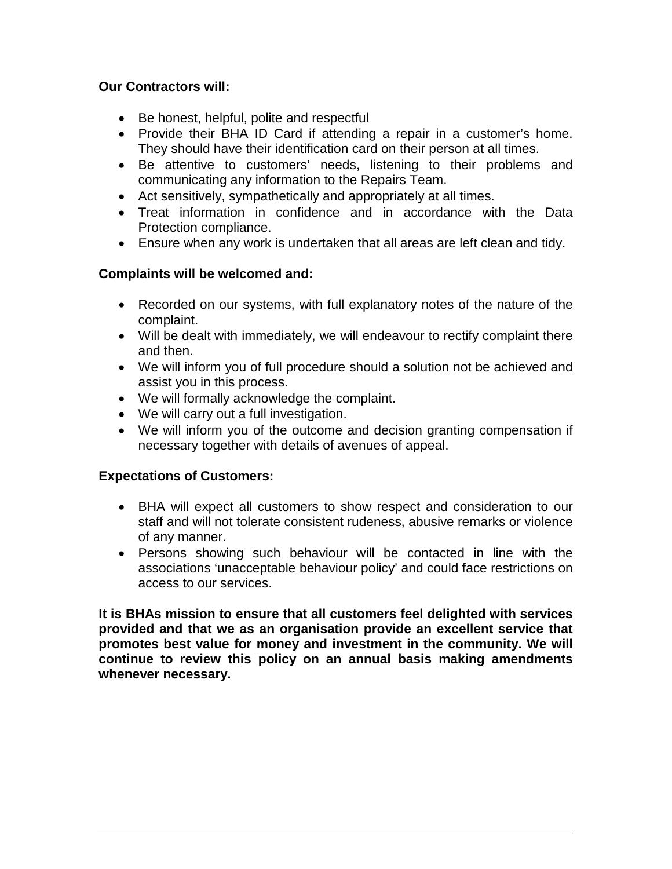## **Our Contractors will:**

- Be honest, helpful, polite and respectful
- Provide their BHA ID Card if attending a repair in a customer's home. They should have their identification card on their person at all times.
- Be attentive to customers' needs, listening to their problems and communicating any information to the Repairs Team.
- Act sensitively, sympathetically and appropriately at all times.
- Treat information in confidence and in accordance with the Data Protection compliance.
- Ensure when any work is undertaken that all areas are left clean and tidy.

## **Complaints will be welcomed and:**

- Recorded on our systems, with full explanatory notes of the nature of the complaint.
- Will be dealt with immediately, we will endeavour to rectify complaint there and then.
- We will inform you of full procedure should a solution not be achieved and assist you in this process.
- We will formally acknowledge the complaint.
- We will carry out a full investigation.
- We will inform you of the outcome and decision granting compensation if necessary together with details of avenues of appeal.

#### **Expectations of Customers:**

- BHA will expect all customers to show respect and consideration to our staff and will not tolerate consistent rudeness, abusive remarks or violence of any manner.
- Persons showing such behaviour will be contacted in line with the associations 'unacceptable behaviour policy' and could face restrictions on access to our services.

**It is BHAs mission to ensure that all customers feel delighted with services provided and that we as an organisation provide an excellent service that promotes best value for money and investment in the community. We will continue to review this policy on an annual basis making amendments whenever necessary.**